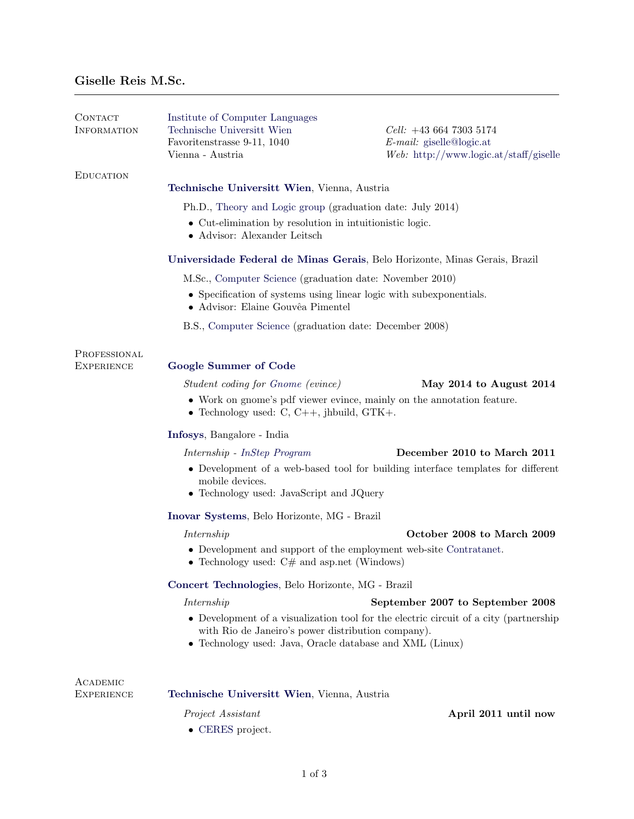| CONTACT<br><b>INFORMATION</b>     | Institute of Computer Languages<br>Technische Universitt Wien<br>Favoritenstrasse 9-11, 1040<br>Vienna - Austria                                                                                        | $Cell: +4366473035174$<br>$E$ -mail: giselle@logic.at<br>$Web: \text{ http://www.logic.at/staff/giselle}$ |  |
|-----------------------------------|---------------------------------------------------------------------------------------------------------------------------------------------------------------------------------------------------------|-----------------------------------------------------------------------------------------------------------|--|
| <b>EDUCATION</b>                  | Technische Universitt Wien, Vienna, Austria                                                                                                                                                             |                                                                                                           |  |
|                                   | Ph.D., Theory and Logic group (graduation date: July 2014)<br>• Cut-elimination by resolution in intuitionistic logic.<br>• Advisor: Alexander Leitsch                                                  |                                                                                                           |  |
|                                   | Universidade Federal de Minas Gerais, Belo Horizonte, Minas Gerais, Brazil                                                                                                                              |                                                                                                           |  |
|                                   | M.Sc., Computer Science (graduation date: November 2010)<br>• Specification of systems using linear logic with subexponentials.<br>• Advisor: Elaine Gouvêa Pimentel                                    |                                                                                                           |  |
|                                   |                                                                                                                                                                                                         |                                                                                                           |  |
|                                   | B.S., Computer Science (graduation date: December 2008)                                                                                                                                                 |                                                                                                           |  |
| PROFESSIONAL<br><b>EXPERIENCE</b> | Google Summer of Code                                                                                                                                                                                   |                                                                                                           |  |
|                                   | Student coding for Gnome (evince)                                                                                                                                                                       | May 2014 to August 2014                                                                                   |  |
|                                   | • Work on gnome's pdf viewer evince, mainly on the annotation feature.<br>• Technology used: $C, C++, jhbuild, GTK+.$                                                                                   |                                                                                                           |  |
|                                   | Infosys, Bangalore - India                                                                                                                                                                              |                                                                                                           |  |
|                                   | Internship - InStep Program                                                                                                                                                                             | December 2010 to March 2011                                                                               |  |
|                                   | • Development of a web-based tool for building interface templates for different<br>mobile devices.<br>• Technology used: JavaScript and JQuery                                                         |                                                                                                           |  |
|                                   | Inovar Systems, Belo Horizonte, MG - Brazil                                                                                                                                                             |                                                                                                           |  |
|                                   | Internship                                                                                                                                                                                              | October 2008 to March 2009                                                                                |  |
|                                   | $\bullet\,$ Development and support of the employment web-site Contratanet.<br>• Technology used: $C#$ and asp.net (Windows)                                                                            |                                                                                                           |  |
|                                   | Concert Technologies, Belo Horizonte, MG - Brazil                                                                                                                                                       |                                                                                                           |  |
|                                   | Internship                                                                                                                                                                                              | September 2007 to September 2008                                                                          |  |
|                                   | • Development of a visualization tool for the electric circuit of a city (partnership<br>with Rio de Janeiro's power distribution company).<br>• Technology used: Java, Oracle database and XML (Linux) |                                                                                                           |  |
| ACADEMIC<br><b>EXPERIENCE</b>     | Technische Universitt Wien, Vienna, Austria                                                                                                                                                             |                                                                                                           |  |
|                                   | Project Assistant                                                                                                                                                                                       | April 2011 until now                                                                                      |  |
|                                   | • CERES project.                                                                                                                                                                                        |                                                                                                           |  |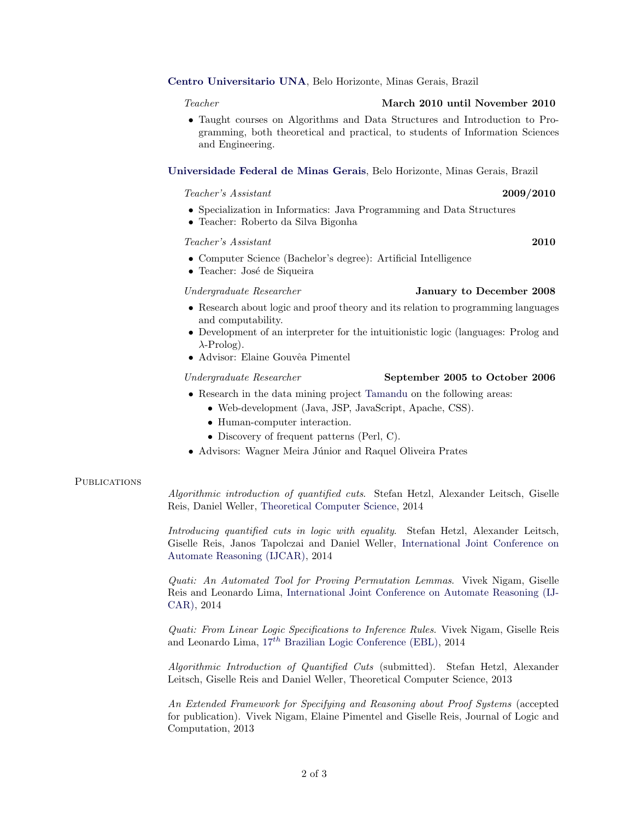# [Centro Universitario UNA](https://www.una.br), Belo Horizonte, Minas Gerais, Brazil

### Teacher March 2010 until November 2010

# • Taught courses on Algorithms and Data Structures and Introduction to Programming, both theoretical and practical, to students of Information Sciences and Engineering.

# [Universidade Federal de Minas Gerais](http://www.ufmg.br), Belo Horizonte, Minas Gerais, Brazil

### Teacher's Assistant 2009/2010

- Specialization in Informatics: Java Programming and Data Structures
- Teacher: Roberto da Silva Bigonha

## Teacher's Assistant 2010

- Computer Science (Bachelor's degree): Artificial Intelligence
- Teacher: José de Siqueira

## Undergraduate Researcher January to December 2008

- Research about logic and proof theory and its relation to programming languages and computability.
- Development of an interpreter for the intuitionistic logic (languages: Prolog and  $\lambda$ -Prolog).
- Advisor: Elaine Gouvêa Pimentel

## Undergraduate Researcher September 2005 to October 2006

# • Research in the data mining project [Tamandu](http://tamandua.speed.dcc.ufmg.br/) on the following areas:

- Web-development (Java, JSP, JavaScript, Apache, CSS).
- Human-computer interaction.
- Discovery of frequent patterns (Perl, C).
- Advisors: Wagner Meira Júnior and Raquel Oliveira Prates

### **PUBLICATIONS**

Algorithmic introduction of quantified cuts. Stefan Hetzl, Alexander Leitsch, Giselle Reis, Daniel Weller, [Theoretical Computer Science,](http://dx.doi.org/10.1016/j.tcs.2014.05.018) 2014

Introducing quantified cuts in logic with equality. Stefan Hetzl, Alexander Leitsch, Giselle Reis, Janos Tapolczai and Daniel Weller, [International Joint Conference on](http://cs.nyu.edu/ijcar2014/) [Automate Reasoning \(IJCAR\),](http://cs.nyu.edu/ijcar2014/) 2014

Quati: An Automated Tool for Proving Permutation Lemmas. Vivek Nigam, Giselle Reis and Leonardo Lima, [International Joint Conference on Automate Reasoning \(IJ-](http://cs.nyu.edu/ijcar2014/)[CAR\),](http://cs.nyu.edu/ijcar2014/) 2014

Quati: From Linear Logic Specifications to Inference Rules. Vivek Nigam, Giselle Reis and Leonardo Lima,  $17^{th}$  [Brazilian Logic Conference \(EBL\),](http://www.uff.br/ebl/) 2014

Algorithmic Introduction of Quantified Cuts (submitted). Stefan Hetzl, Alexander Leitsch, Giselle Reis and Daniel Weller, Theoretical Computer Science, 2013

An Extended Framework for Specifying and Reasoning about Proof Systems (accepted for publication). Vivek Nigam, Elaine Pimentel and Giselle Reis, Journal of Logic and Computation, 2013